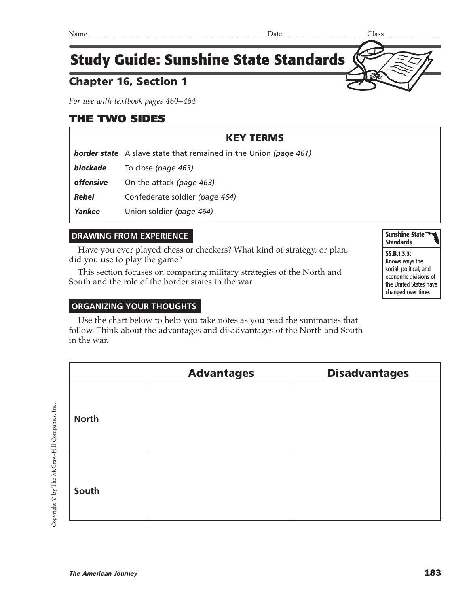# Chapter 16, Section 1

*For use with textbook pages 460–464*

### THE TWO SIDES

# KEY TERMS

*border state* A slave state that remained in the Union *(page 461)*

*blockade* To close *(page 463)*

*offensive* On the attack *(page 463)*

*Rebel* Confederate soldier *(page 464)*

*Yankee* Union soldier *(page 464)*

### **DRAWING FROM EXPERIENCE**

Have you ever played chess or checkers? What kind of strategy, or plan, did you use to play the game?

This section focuses on comparing military strategies of the North and South and the role of the border states in the war.

#### **ORGANIZING YOUR THOUGHTS**

Use the chart below to help you take notes as you read the summaries that follow. Think about the advantages and disadvantages of the North and South in the war.

|              | <b>Advantages</b> | <b>Disadvantages</b> |
|--------------|-------------------|----------------------|
| <b>North</b> |                   |                      |
| South        |                   |                      |

Copyright © by The McGraw-Hill Companies, Inc. Copyright © by The McGraw-Hill Companies, Inc.

Sunshine State<sup>\*</sup> **Standards** SS.B.1.3.3: Knows ways the social, political, and economic divisions of the United States have changed over time.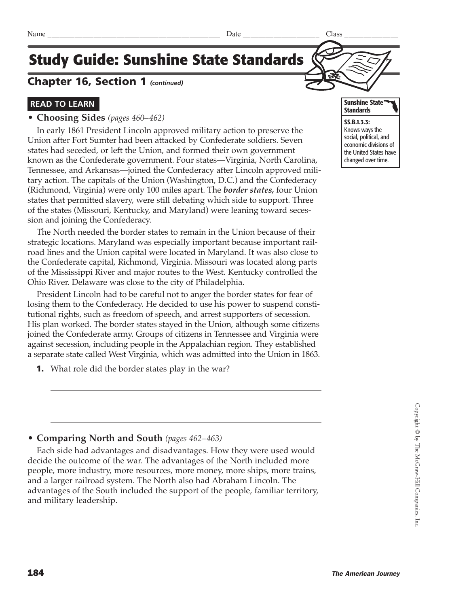### Chapter 16, Section 1 *(continued)*

### **READ TO LEARN**

#### **• Choosing Sides** *(pages 460–462)*

In early 1861 President Lincoln approved military action to preserve the Union after Fort Sumter had been attacked by Confederate soldiers. Seven states had seceded, or left the Union, and formed their own government known as the Confederate government. Four states—Virginia, North Carolina, Tennessee, and Arkansas—joined the Confederacy after Lincoln approved military action. The capitals of the Union (Washington, D.C.) and the Confederacy (Richmond, Virginia) were only 100 miles apart. The *border states,* four Union states that permitted slavery, were still debating which side to support. Three of the states (Missouri, Kentucky, and Maryland) were leaning toward secession and joining the Confederacy.

The North needed the border states to remain in the Union because of their strategic locations. Maryland was especially important because important railroad lines and the Union capital were located in Maryland. It was also close to the Confederate capital, Richmond, Virginia. Missouri was located along parts of the Mississippi River and major routes to the West. Kentucky controlled the Ohio River. Delaware was close to the city of Philadelphia.

President Lincoln had to be careful not to anger the border states for fear of losing them to the Confederacy. He decided to use his power to suspend constitutional rights, such as freedom of speech, and arrest supporters of secession. His plan worked. The border states stayed in the Union, although some citizens joined the Confederate army. Groups of citizens in Tennessee and Virginia were against secession, including people in the Appalachian region. They established a separate state called West Virginia, which was admitted into the Union in 1863.

**1.** What role did the border states play in the war?

### **• Comparing North and South** *(pages 462–463)*

Each side had advantages and disadvantages. How they were used would decide the outcome of the war. The advantages of the North included more people, more industry, more resources, more money, more ships, more trains, and a larger railroad system. The North also had Abraham Lincoln. The advantages of the South included the support of the people, familiar territory, and military leadership.



Knows ways the social, political, and economic divisions of the United States have changed over time.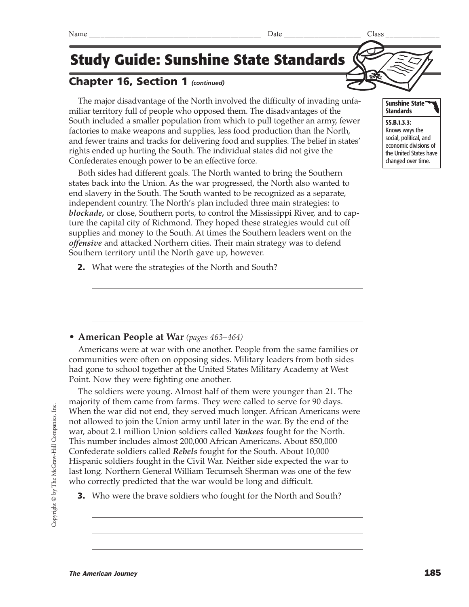# Chapter 16, Section 1 *(continued)*

The major disadvantage of the North involved the difficulty of invading unfamiliar territory full of people who opposed them. The disadvantages of the South included a smaller population from which to pull together an army, fewer factories to make weapons and supplies, less food production than the North, and fewer trains and tracks for delivering food and supplies. The belief in states' rights ended up hurting the South. The individual states did not give the Confederates enough power to be an effective force.

Both sides had different goals. The North wanted to bring the Southern states back into the Union. As the war progressed, the North also wanted to end slavery in the South. The South wanted to be recognized as a separate, independent country. The North's plan included three main strategies: to *blockade,* or close, Southern ports, to control the Mississippi River, and to capture the capital city of Richmond. They hoped these strategies would cut off supplies and money to the South. At times the Southern leaders went on the *offensive* and attacked Northern cities. Their main strategy was to defend Southern territory until the North gave up, however.

**2.** What were the strategies of the North and South?

### **• American People at War** *(pages 463–464)*

Americans were at war with one another. People from the same families or communities were often on opposing sides. Military leaders from both sides had gone to school together at the United States Military Academy at West Point. Now they were fighting one another.

The soldiers were young. Almost half of them were younger than 21. The majority of them came from farms. They were called to serve for 90 days. When the war did not end, they served much longer. African Americans were not allowed to join the Union army until later in the war. By the end of the war, about 2.1 million Union soldiers called *Yankees* fought for the North. This number includes almost 200,000 African Americans. About 850,000 Confederate soldiers called *Rebels* fought for the South. About 10,000 Hispanic soldiers fought in the Civil War. Neither side expected the war to last long. Northern General William Tecumseh Sherman was one of the few who correctly predicted that the war would be long and difficult.

**3.** Who were the brave soldiers who fought for the North and South?



### Sunshine State **Standards**

SS.B.1.3.3: Knows ways the social, political, and economic divisions of the United States have changed over time.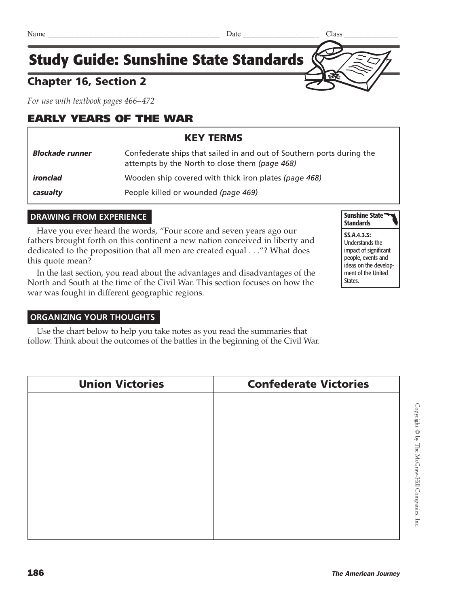# Chapter 16, Section 2

*For use with textbook pages 466–472*

# EARLY YEARS OF THE WAR

# KEY TERMS *Blockade runner* Confederate ships that sailed in and out of Southern ports during the attempts by the North to close them *(page 468)*

*ironclad* Wooden ship covered with thick iron plates *(page 468)*

**casualty People killed or wounded** *(page 469)* 

# **DRAWING FROM EXPERIENCE**

Have you ever heard the words, "Four score and seven years ago our fathers brought forth on this continent a new nation conceived in liberty and dedicated to the proposition that all men are created equal . . ."? What does this quote mean?

In the last section, you read about the advantages and disadvantages of the North and South at the time of the Civil War. This section focuses on how the war was fought in different geographic regions.



SS.A.4.3.3: Understands the impact of significant people, events and ideas on the development of the United States.

#### **ORGANIZING YOUR THOUGHTS**

Use the chart below to help you take notes as you read the summaries that follow. Think about the outcomes of the battles in the beginning of the Civil War.

| <b>Union Victories</b> | <b>Confederate Victories</b> |
|------------------------|------------------------------|
|                        |                              |
|                        |                              |
|                        |                              |
|                        |                              |
|                        |                              |
|                        |                              |
|                        |                              |
|                        |                              |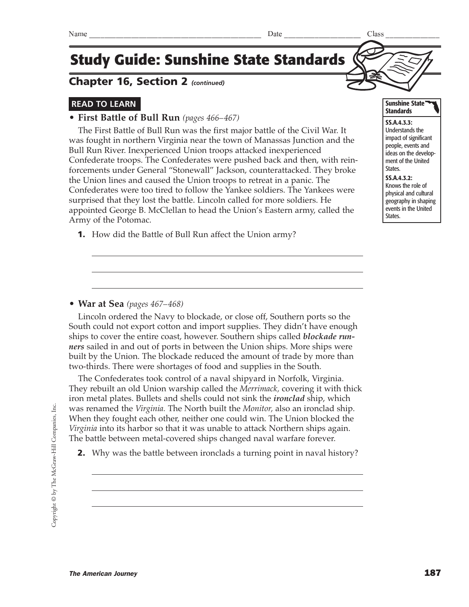### Chapter 16, Section 2 *(continued)*

### **READ TO LEARN**

### **• First Battle of Bull Run** *(pages 466–467)*

The First Battle of Bull Run was the first major battle of the Civil War. It was fought in northern Virginia near the town of Manassas Junction and the Bull Run River. Inexperienced Union troops attacked inexperienced Confederate troops. The Confederates were pushed back and then, with reinforcements under General "Stonewall" Jackson, counterattacked. They broke the Union lines and caused the Union troops to retreat in a panic. The Confederates were too tired to follow the Yankee soldiers. The Yankees were surprised that they lost the battle. Lincoln called for more soldiers. He appointed George B. McClellan to head the Union's Eastern army, called the Army of the Potomac.

**1.** How did the Battle of Bull Run affect the Union army?

#### **• War at Sea** *(pages 467–468)*

Lincoln ordered the Navy to blockade, or close off, Southern ports so the South could not export cotton and import supplies. They didn't have enough ships to cover the entire coast, however. Southern ships called *blockade runners* sailed in and out of ports in between the Union ships. More ships were built by the Union. The blockade reduced the amount of trade by more than two-thirds. There were shortages of food and supplies in the South.

The Confederates took control of a naval shipyard in Norfolk, Virginia. They rebuilt an old Union warship called the *Merrimack,* covering it with thick iron metal plates. Bullets and shells could not sink the *ironclad* ship, which was renamed the *Virginia.* The North built the *Monitor,* also an ironclad ship. When they fought each other, neither one could win. The Union blocked the *Virginia* into its harbor so that it was unable to attack Northern ships again. The battle between metal-covered ships changed naval warfare forever.

**2.** Why was the battle between ironclads a turning point in naval history?

SS.A.4.3.3: Understands the impact of significant people, events and ideas on the development of the United States. SS.A.4.3.2: Knows the role of physical and cultural geography in shaping events in the United States.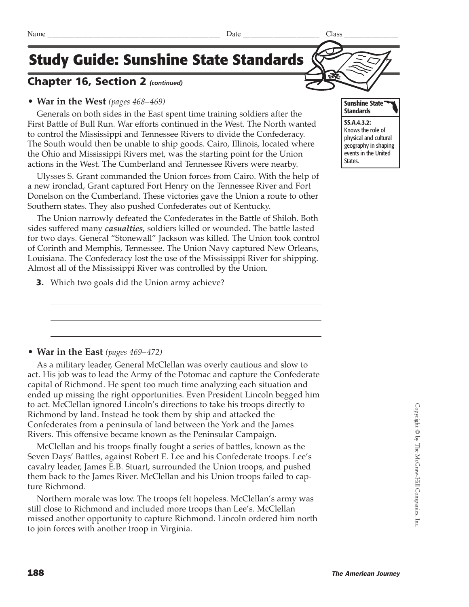### Chapter 16, Section 2 *(continued)*

#### **• War in the West** *(pages 468–469)*

Generals on both sides in the East spent time training soldiers after the First Battle of Bull Run. War efforts continued in the West. The North wanted to control the Mississippi and Tennessee Rivers to divide the Confederacy. The South would then be unable to ship goods. Cairo, Illinois, located where the Ohio and Mississippi Rivers met, was the starting point for the Union actions in the West. The Cumberland and Tennessee Rivers were nearby.

Ulysses S. Grant commanded the Union forces from Cairo. With the help of a new ironclad, Grant captured Fort Henry on the Tennessee River and Fort Donelson on the Cumberland. These victories gave the Union a route to other Southern states. They also pushed Confederates out of Kentucky.

The Union narrowly defeated the Confederates in the Battle of Shiloh. Both sides suffered many *casualties,* soldiers killed or wounded. The battle lasted for two days. General "Stonewall" Jackson was killed. The Union took control of Corinth and Memphis, Tennessee. The Union Navy captured New Orleans, Louisiana. The Confederacy lost the use of the Mississippi River for shipping. Almost all of the Mississippi River was controlled by the Union.

**3.** Which two goals did the Union army achieve?

# **• War in the East** *(pages 469–472)*

As a military leader, General McClellan was overly cautious and slow to act. His job was to lead the Army of the Potomac and capture the Confederate capital of Richmond. He spent too much time analyzing each situation and ended up missing the right opportunities. Even President Lincoln begged him to act. McClellan ignored Lincoln's directions to take his troops directly to Richmond by land. Instead he took them by ship and attacked the Confederates from a peninsula of land between the York and the James Rivers. This offensive became known as the Peninsular Campaign.

McClellan and his troops finally fought a series of battles, known as the Seven Days' Battles, against Robert E. Lee and his Confederate troops. Lee's cavalry leader, James E.B. Stuart, surrounded the Union troops, and pushed them back to the James River. McClellan and his Union troops failed to capture Richmond.

Northern morale was low. The troops felt hopeless. McClellan's army was still close to Richmond and included more troops than Lee's. McClellan missed another opportunity to capture Richmond. Lincoln ordered him north to join forces with another troop in Virginia.



SS.A.4.3.2: Knows the role of physical and cultural geography in shaping events in the United States.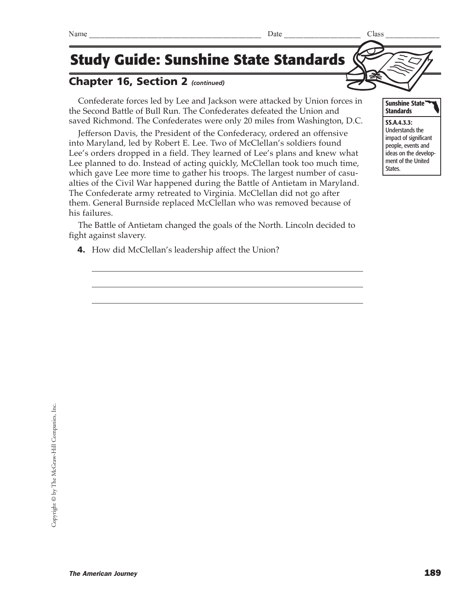# Chapter 16, Section 2 *(continued)*

Confederate forces led by Lee and Jackson were attacked by Union forces in the Second Battle of Bull Run. The Confederates defeated the Union and saved Richmond. The Confederates were only 20 miles from Washington, D.C.

Jefferson Davis, the President of the Confederacy, ordered an offensive into Maryland, led by Robert E. Lee. Two of McClellan's soldiers found Lee's orders dropped in a field. They learned of Lee's plans and knew what Lee planned to do. Instead of acting quickly, McClellan took too much time, which gave Lee more time to gather his troops. The largest number of casualties of the Civil War happened during the Battle of Antietam in Maryland. The Confederate army retreated to Virginia. McClellan did not go after them. General Burnside replaced McClellan who was removed because of his failures.

The Battle of Antietam changed the goals of the North. Lincoln decided to fight against slavery.

4. How did McClellan's leadership affect the Union?



SS.A.4.3.3: Understands the impact of significant people, events and ideas on the development of the United States.

Sunshine State **Standards** 

#### The American Journey 289

#### $\text{Name} \quad \text{28} \quad \text{29}$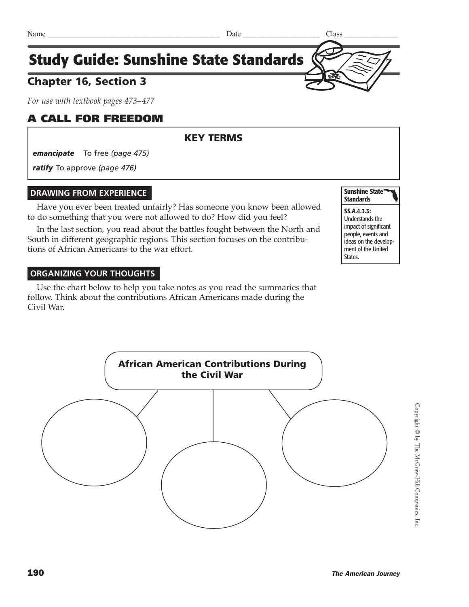

# Chapter 16, Section 3

*For use with textbook pages 473–477*

### A CALL FOR FREEDOM

### KEY TERMS

*emancipate* To free *(page 475)*

*ratify* To approve *(page 476)*

#### **DRAWING FROM EXPERIENCE**

Have you ever been treated unfairly? Has someone you know been allowed to do something that you were not allowed to do? How did you feel?

In the last section, you read about the battles fought between the North and South in different geographic regions. This section focuses on the contributions of African Americans to the war effort.

#### **ORGANIZING YOUR THOUGHTS**

Use the chart below to help you take notes as you read the summaries that follow. Think about the contributions African Americans made during the Civil War.



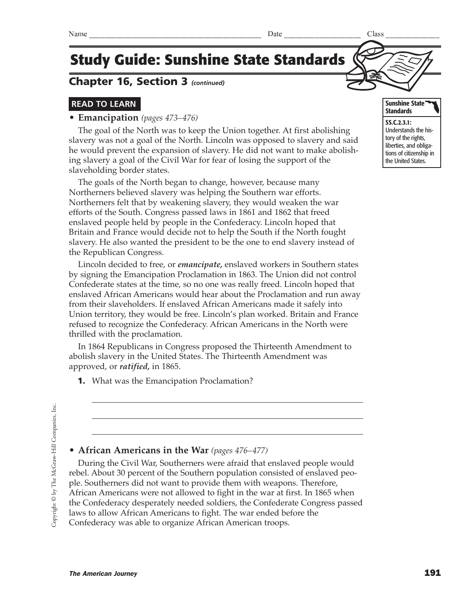### **READ TO LEARN**

#### **• Emancipation** *(pages 473–476)*

The goal of the North was to keep the Union together. At first abolishing slavery was not a goal of the North. Lincoln was opposed to slavery and said he would prevent the expansion of slavery. He did not want to make abolishing slavery a goal of the Civil War for fear of losing the support of the slaveholding border states.

**Study Guide: Sunshine State Standards**

The goals of the North began to change, however, because many Northerners believed slavery was helping the Southern war efforts. Northerners felt that by weakening slavery, they would weaken the war efforts of the South. Congress passed laws in 1861 and 1862 that freed enslaved people held by people in the Confederacy. Lincoln hoped that Britain and France would decide not to help the South if the North fought slavery. He also wanted the president to be the one to end slavery instead of the Republican Congress.

Lincoln decided to free, or *emancipate,* enslaved workers in Southern states by signing the Emancipation Proclamation in 1863. The Union did not control Confederate states at the time, so no one was really freed. Lincoln hoped that enslaved African Americans would hear about the Proclamation and run away from their slaveholders. If enslaved African Americans made it safely into Union territory, they would be free. Lincoln's plan worked. Britain and France refused to recognize the Confederacy. African Americans in the North were thrilled with the proclamation.

In 1864 Republicans in Congress proposed the Thirteenth Amendment to abolish slavery in the United States. The Thirteenth Amendment was approved, or *ratified,* in 1865.

**1.** What was the Emancipation Proclamation?

#### **• African Americans in the War** *(pages 476–477)*

During the Civil War, Southerners were afraid that enslaved people would rebel. About 30 percent of the Southern population consisted of enslaved people. Southerners did not want to provide them with weapons. Therefore, African Americans were not allowed to fight in the war at first. In 1865 when the Confederacy desperately needed soldiers, the Confederate Congress passed laws to allow African Americans to fight. The war ended before the Confederacy was able to organize African American troops.

SS.C.2.3.1: Understands the history of the rights, liberties, and obliga-

tions of citizenship in the United States.

Sunshine State **Standards**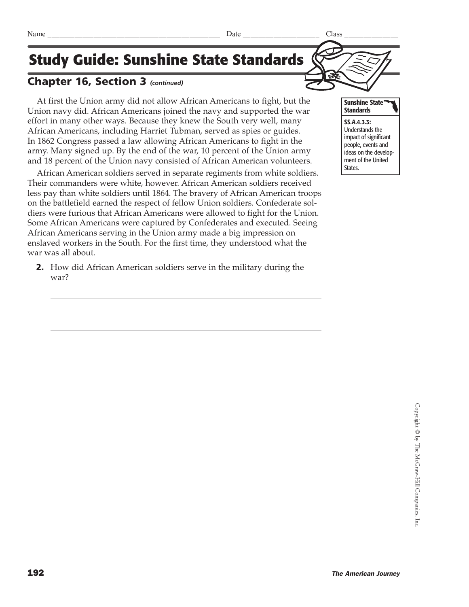### Chapter 16, Section 3 *(continued)*

At first the Union army did not allow African Americans to fight, but the Union navy did. African Americans joined the navy and supported the war effort in many other ways. Because they knew the South very well, many African Americans, including Harriet Tubman, served as spies or guides. In 1862 Congress passed a law allowing African Americans to fight in the army. Many signed up. By the end of the war, 10 percent of the Union army and 18 percent of the Union navy consisted of African American volunteers.

African American soldiers served in separate regiments from white soldiers. Their commanders were white, however. African American soldiers received less pay than white soldiers until 1864. The bravery of African American troops on the battlefield earned the respect of fellow Union soldiers. Confederate soldiers were furious that African Americans were allowed to fight for the Union. Some African Americans were captured by Confederates and executed. Seeing African Americans serving in the Union army made a big impression on enslaved workers in the South. For the first time, they understood what the war was all about.

2. How did African American soldiers serve in the military during the war?

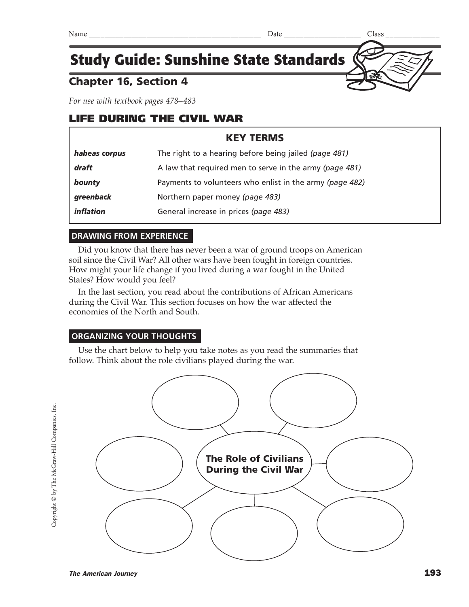# Chapter 16, Section 4

*For use with textbook pages 478–483*

# LIFE DURING THE CIVIL WAR

### KEY TERMS

| habeas corpus | The right to a hearing before being jailed (page 481)    |
|---------------|----------------------------------------------------------|
| draft         | A law that required men to serve in the army (page 481)  |
| bounty        | Payments to volunteers who enlist in the army (page 482) |
| greenback     | Northern paper money (page 483)                          |
| inflation     | General increase in prices (page 483)                    |

### **DRAWING FROM EXPERIENCE**

Did you know that there has never been a war of ground troops on American soil since the Civil War? All other wars have been fought in foreign countries. How might your life change if you lived during a war fought in the United States? How would you feel?

In the last section, you read about the contributions of African Americans during the Civil War. This section focuses on how the war affected the economies of the North and South.

### **ORGANIZING YOUR THOUGHTS**

Use the chart below to help you take notes as you read the summaries that follow. Think about the role civilians played during the war.

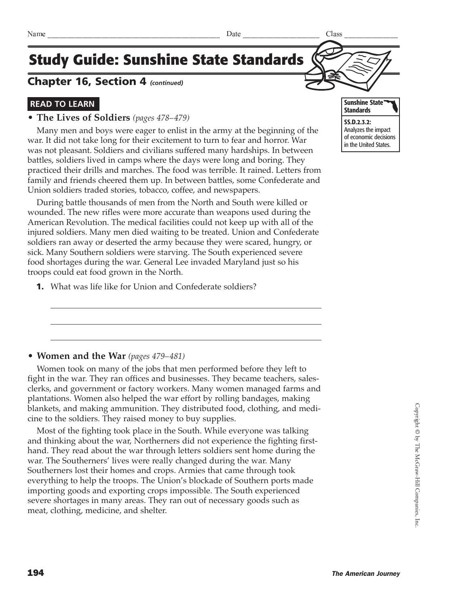### Chapter 16, Section 4 *(continued)*

### **READ TO LEARN**

#### **• The Lives of Soldiers** *(pages 478–479)*

Many men and boys were eager to enlist in the army at the beginning of the war. It did not take long for their excitement to turn to fear and horror. War was not pleasant. Soldiers and civilians suffered many hardships. In between battles, soldiers lived in camps where the days were long and boring. They practiced their drills and marches. The food was terrible. It rained. Letters from family and friends cheered them up. In between battles, some Confederate and Union soldiers traded stories, tobacco, coffee, and newspapers.

During battle thousands of men from the North and South were killed or wounded. The new rifles were more accurate than weapons used during the American Revolution. The medical facilities could not keep up with all of the injured soldiers. Many men died waiting to be treated. Union and Confederate soldiers ran away or deserted the army because they were scared, hungry, or sick. Many Southern soldiers were starving. The South experienced severe food shortages during the war. General Lee invaded Maryland just so his troops could eat food grown in the North.

1. What was life like for Union and Confederate soldiers?



### **• Women and the War** *(pages 479–481)*

Women took on many of the jobs that men performed before they left to fight in the war. They ran offices and businesses. They became teachers, salesclerks, and government or factory workers. Many women managed farms and plantations. Women also helped the war effort by rolling bandages, making blankets, and making ammunition. They distributed food, clothing, and medicine to the soldiers. They raised money to buy supplies.

Most of the fighting took place in the South. While everyone was talking and thinking about the war, Northerners did not experience the fighting firsthand. They read about the war through letters soldiers sent home during the war. The Southerners' lives were really changed during the war. Many Southerners lost their homes and crops. Armies that came through took everything to help the troops. The Union's blockade of Southern ports made importing goods and exporting crops impossible. The South experienced severe shortages in many areas. They ran out of necessary goods such as meat, clothing, medicine, and shelter.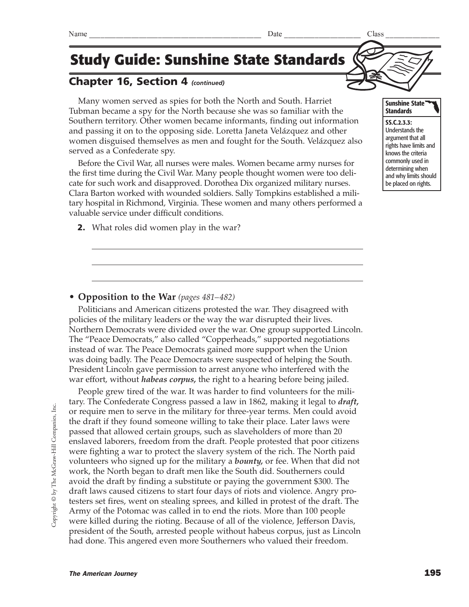# Chapter 16, Section 4 *(continued)*

Many women served as spies for both the North and South. Harriet Tubman became a spy for the North because she was so familiar with the Southern territory. Other women became informants, finding out information and passing it on to the opposing side. Loretta Janeta Velázquez and other women disguised themselves as men and fought for the South. Velázquez also served as a Confederate spy.

Before the Civil War, all nurses were males. Women became army nurses for the first time during the Civil War. Many people thought women were too delicate for such work and disapproved. Dorothea Dix organized military nurses. Clara Barton worked with wounded soldiers. Sally Tompkins established a military hospital in Richmond, Virginia. These women and many others performed a valuable service under difficult conditions.

**2.** What roles did women play in the war?

### **• Opposition to the War** *(pages 481–482)*

Politicians and American citizens protested the war. They disagreed with policies of the military leaders or the way the war disrupted their lives. Northern Democrats were divided over the war. One group supported Lincoln. The "Peace Democrats," also called "Copperheads," supported negotiations instead of war. The Peace Democrats gained more support when the Union was doing badly. The Peace Democrats were suspected of helping the South. President Lincoln gave permission to arrest anyone who interfered with the war effort, without *habeas corpus,* the right to a hearing before being jailed.

People grew tired of the war. It was harder to find volunteers for the military. The Confederate Congress passed a law in 1862, making it legal to *draft,* or require men to serve in the military for three-year terms. Men could avoid the draft if they found someone willing to take their place. Later laws were passed that allowed certain groups, such as slaveholders of more than 20 enslaved laborers, freedom from the draft. People protested that poor citizens were fighting a war to protect the slavery system of the rich. The North paid volunteers who signed up for the military a *bounty,* or fee. When that did not work, the North began to draft men like the South did. Southerners could avoid the draft by finding a substitute or paying the government \$300. The draft laws caused citizens to start four days of riots and violence. Angry protesters set fires, went on stealing sprees, and killed in protest of the draft. The Army of the Potomac was called in to end the riots. More than 100 people were killed during the rioting. Because of all of the violence, Jefferson Davis, president of the South, arrested people without habeus corpus, just as Lincoln had done. This angered even more Southerners who valued their freedom.

Sunshine State **Standards** 

SS.C.2.3.3: Understands the argument that all rights have limits and knows the criteria commonly used in determining when and why limits should be placed on rights.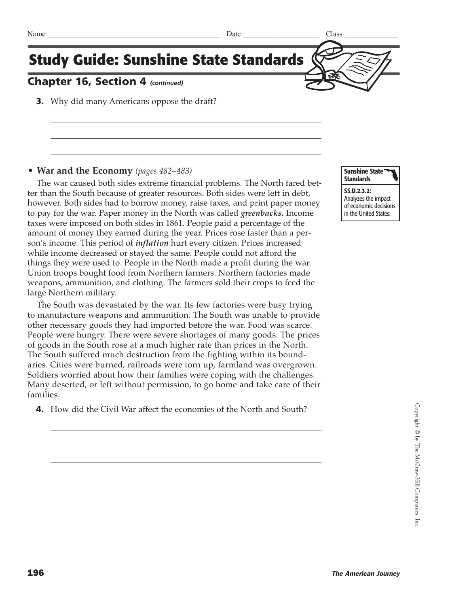# Chapter 16, Section 4 *(continued)*

**3.** Why did many Americans oppose the draft?

#### **• War and the Economy** *(pages 482–483)*

The war caused both sides extreme financial problems. The North fared better than the South because of greater resources. Both sides were left in debt, however. Both sides had to borrow money, raise taxes, and print paper money to pay for the war. Paper money in the North was called *greenbacks.* Income taxes were imposed on both sides in 1861. People paid a percentage of the amount of money they earned during the year. Prices rose faster than a person's income. This period of *inflation* hurt every citizen. Prices increased while income decreased or stayed the same. People could not afford the things they were used to. People in the North made a profit during the war. Union troops bought food from Northern farmers. Northern factories made weapons, ammunition, and clothing. The farmers sold their crops to feed the large Northern military.

The South was devastated by the war. Its few factories were busy trying to manufacture weapons and ammunition. The South was unable to provide other necessary goods they had imported before the war. Food was scarce. People were hungry. There were severe shortages of many goods. The prices of goods in the South rose at a much higher rate than prices in the North. The South suffered much destruction from the fighting within its boundaries. Cities were burned, railroads were torn up, farmland was overgrown. Soldiers worried about how their families were coping with the challenges. Many deserted, or left without permission, to go home and take care of their families.

4. How did the Civil War affect the economies of the North and South?



SS.D.2.3.2: Analyzes the impact of economic decisions in the United States.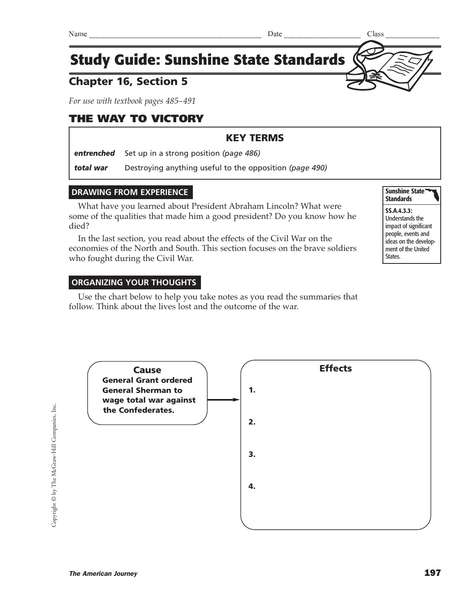# Chapter 16, Section 5

*For use with textbook pages 485–491*

# THE WAY TO VICTORY

### KEY TERMS

*entrenched* Set up in a strong position *(page 486)*

*total war* Destroying anything useful to the opposition *(page 490)*

### **DRAWING FROM EXPERIENCE**

What have you learned about President Abraham Lincoln? What were some of the qualities that made him a good president? Do you know how he died?

In the last section, you read about the effects of the Civil War on the economies of the North and South. This section focuses on the brave soldiers who fought during the Civil War.

### **ORGANIZING YOUR THOUGHTS**

Use the chart below to help you take notes as you read the summaries that follow. Think about the lives lost and the outcome of the war.

Copyright © by The McGraw-Hill Companies, Inc. Copyright © by The McGraw-Hill Companies, Inc.



Sunshine State **Standards**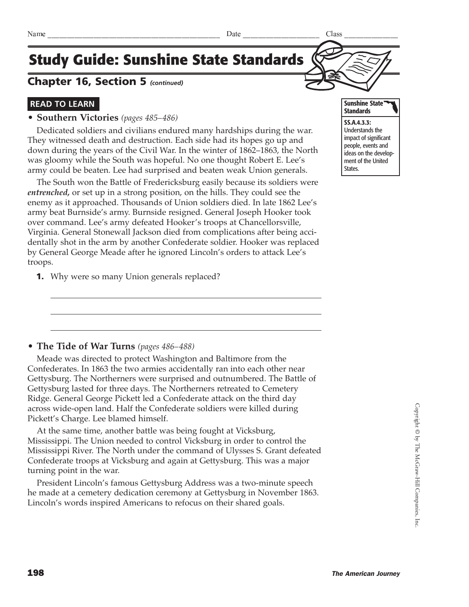### Chapter 16, Section 5 *(continued)*

### **READ TO LEARN**

#### **• Southern Victories** *(pages 485–486)*

Dedicated soldiers and civilians endured many hardships during the war. They witnessed death and destruction. Each side had its hopes go up and down during the years of the Civil War. In the winter of 1862–1863, the North was gloomy while the South was hopeful. No one thought Robert E. Lee's army could be beaten. Lee had surprised and beaten weak Union generals.

The South won the Battle of Fredericksburg easily because its soldiers were *entrenched,* or set up in a strong position, on the hills. They could see the enemy as it approached. Thousands of Union soldiers died. In late 1862 Lee's army beat Burnside's army. Burnside resigned. General Joseph Hooker took over command. Lee's army defeated Hooker's troops at Chancellorsville, Virginia. General Stonewall Jackson died from complications after being accidentally shot in the arm by another Confederate soldier. Hooker was replaced by General George Meade after he ignored Lincoln's orders to attack Lee's troops.

**1.** Why were so many Union generals replaced?



#### **• The Tide of War Turns** *(pages 486–488)*

Meade was directed to protect Washington and Baltimore from the Confederates. In 1863 the two armies accidentally ran into each other near Gettysburg. The Northerners were surprised and outnumbered. The Battle of Gettysburg lasted for three days. The Northerners retreated to Cemetery Ridge. General George Pickett led a Confederate attack on the third day across wide-open land. Half the Confederate soldiers were killed during Pickett's Charge. Lee blamed himself.

At the same time, another battle was being fought at Vicksburg, Mississippi. The Union needed to control Vicksburg in order to control the Mississippi River. The North under the command of Ulysses S. Grant defeated Confederate troops at Vicksburg and again at Gettysburg. This was a major turning point in the war.

President Lincoln's famous Gettysburg Address was a two-minute speech he made at a cemetery dedication ceremony at Gettysburg in November 1863. Lincoln's words inspired Americans to refocus on their shared goals.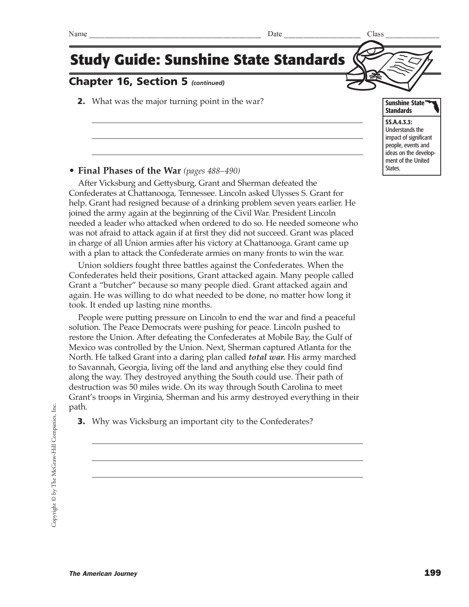### Chapter 16, Section 5 *(continued)*

**2.** What was the major turning point in the war?

**• Final Phases of the War** *(pages 488–490)*

After Vicksburg and Gettysburg, Grant and Sherman defeated the Confederates at Chattanooga, Tennessee. Lincoln asked Ulysses S. Grant for help. Grant had resigned because of a drinking problem seven years earlier. He joined the army again at the beginning of the Civil War. President Lincoln needed a leader who attacked when ordered to do so. He needed someone who was not afraid to attack again if at first they did not succeed. Grant was placed in charge of all Union armies after his victory at Chattanooga. Grant came up with a plan to attack the Confederate armies on many fronts to win the war.

Union soldiers fought three battles against the Confederates. When the Confederates held their positions, Grant attacked again. Many people called Grant a "butcher" because so many people died. Grant attacked again and again. He was willing to do what needed to be done, no matter how long it took. It ended up lasting nine months.

People were putting pressure on Lincoln to end the war and find a peaceful solution. The Peace Democrats were pushing for peace. Lincoln pushed to restore the Union. After defeating the Confederates at Mobile Bay, the Gulf of Mexico was controlled by the Union. Next, Sherman captured Atlanta for the North. He talked Grant into a daring plan called *total war.* His army marched to Savannah, Georgia, living off the land and anything else they could find along the way. They destroyed anything the South could use. Their path of destruction was 50 miles wide. On its way through South Carolina to meet Grant's troops in Virginia, Sherman and his army destroyed everything in their path.

**3.** Why was Vicksburg an important city to the Confederates?



**Standards** SS.A.4.3.3: Understands the impact of significant people, events and ideas on the development of the United States.

Sunshine State